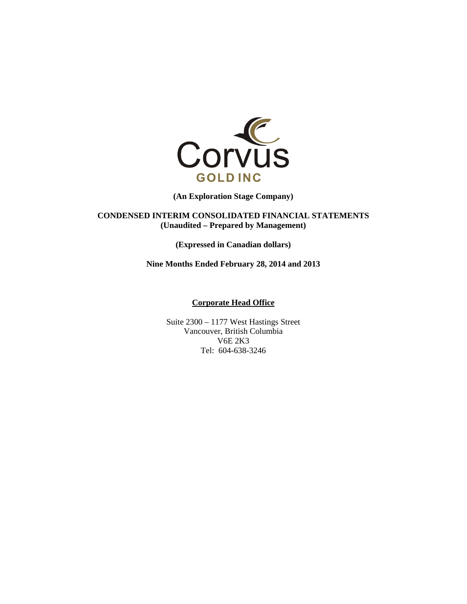

**(An Exploration Stage Company)** 

**CONDENSED INTERIM CONSOLIDATED FINANCIAL STATEMENTS (Unaudited – Prepared by Management)** 

**(Expressed in Canadian dollars)** 

**Nine Months Ended February 28, 2014 and 2013** 

#### **Corporate Head Office**

Suite 2300 – 1177 West Hastings Street Vancouver, British Columbia V6E 2K3 Tel: 604-638-3246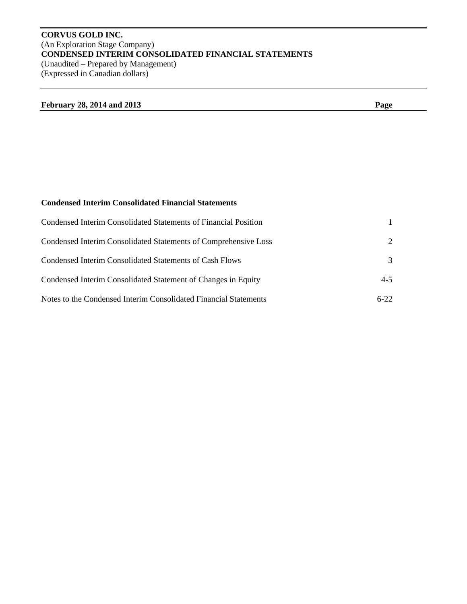# **CORVUS GOLD INC.**  (An Exploration Stage Company) **CONDENSED INTERIM CONSOLIDATED FINANCIAL STATEMENTS**  (Unaudited – Prepared by Management) (Expressed in Canadian dollars)

# **February 28, 2014 and 2013 Page**

# **Condensed Interim Consolidated Financial Statements**

| Condensed Interim Consolidated Statements of Financial Position  |                             |
|------------------------------------------------------------------|-----------------------------|
| Condensed Interim Consolidated Statements of Comprehensive Loss  | $\mathcal{D}_{\mathcal{L}}$ |
| Condensed Interim Consolidated Statements of Cash Flows          | 3                           |
| Condensed Interim Consolidated Statement of Changes in Equity    | $4 - 5$                     |
| Notes to the Condensed Interim Consolidated Financial Statements | $6-22$                      |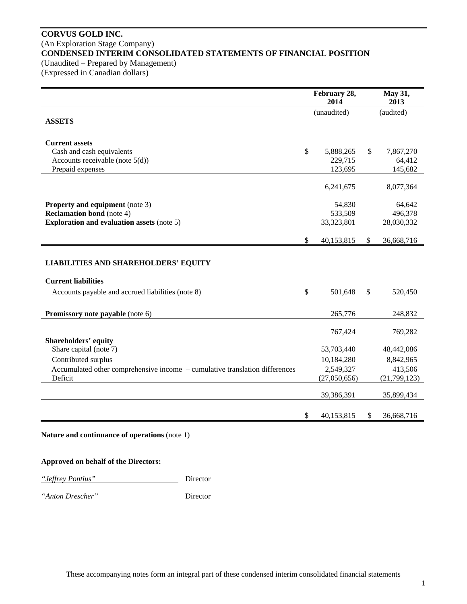# **CORVUS GOLD INC.**  (An Exploration Stage Company) **CONDENSED INTERIM CONSOLIDATED STATEMENTS OF FINANCIAL POSITION**  (Unaudited – Prepared by Management)

(Expressed in Canadian dollars)

|                                                                                 | February 28,<br>2014 |              | May 31,<br>2013     |
|---------------------------------------------------------------------------------|----------------------|--------------|---------------------|
| <b>ASSETS</b>                                                                   | (unaudited)          |              | (audited)           |
| <b>Current assets</b>                                                           | \$                   | \$           |                     |
| Cash and cash equivalents<br>Accounts receivable (note $5(d)$ )                 | 5,888,265<br>229,715 |              | 7,867,270<br>64,412 |
| Prepaid expenses                                                                | 123,695              |              | 145,682             |
|                                                                                 | 6,241,675            |              | 8,077,364           |
| <b>Property and equipment</b> (note 3)                                          | 54,830               |              | 64,642              |
| <b>Reclamation bond</b> (note 4)                                                | 533,509              |              | 496,378             |
| <b>Exploration and evaluation assets (note 5)</b>                               | 33,323,801           |              | 28,030,332          |
|                                                                                 | \$<br>40,153,815     | $\mathbb{S}$ | 36,668,716          |
| <b>LIABILITIES AND SHAREHOLDERS' EQUITY</b>                                     |                      |              |                     |
| <b>Current liabilities</b><br>Accounts payable and accrued liabilities (note 8) | \$<br>501,648        | \$           | 520,450             |
| Promissory note payable (note 6)                                                | 265,776              |              | 248,832             |
| <b>Shareholders' equity</b>                                                     | 767,424              |              | 769,282             |
| Share capital (note 7)                                                          | 53,703,440           |              | 48,442,086          |
| Contributed surplus                                                             | 10,184,280           |              | 8,842,965           |
| Accumulated other comprehensive income - cumulative translation differences     | 2,549,327            |              | 413,506             |
| Deficit                                                                         | (27,050,656)         |              | (21,799,123)        |
|                                                                                 | 39,386,391           |              | 35,899,434          |
|                                                                                 | \$<br>40,153,815     | \$           | 36,668,716          |

**Nature and continuance of operations** (note 1)

# **Approved on behalf of the Directors:**

*"Jeffrey Pontius"* Director

*"Anton Drescher"* Director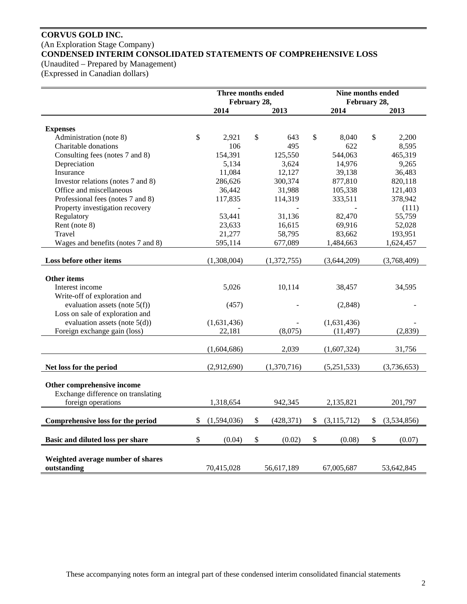# **CORVUS GOLD INC.**  (An Exploration Stage Company) **CONDENSED INTERIM CONSOLIDATED STATEMENTS OF COMPREHENSIVE LOSS**

(Unaudited – Prepared by Management)

(Expressed in Canadian dollars)

|                                    | Three months ended<br>February 28, |                  | Nine months ended<br>February 28, |    |             |  |
|------------------------------------|------------------------------------|------------------|-----------------------------------|----|-------------|--|
|                                    | 2014                               | 2013             | 2014                              |    | 2013        |  |
|                                    |                                    |                  |                                   |    |             |  |
| <b>Expenses</b>                    |                                    |                  |                                   |    |             |  |
| Administration (note 8)            | \$<br>2,921                        | \$<br>643        | \$<br>8,040                       | \$ | 2,200       |  |
| Charitable donations               | 106                                | 495              | 622                               |    | 8,595       |  |
| Consulting fees (notes 7 and 8)    | 154,391                            | 125,550          | 544,063                           |    | 465,319     |  |
| Depreciation                       | 5,134                              | 3,624            | 14,976                            |    | 9,265       |  |
| Insurance                          | 11,084                             | 12,127           | 39,138                            |    | 36,483      |  |
| Investor relations (notes 7 and 8) | 286,626                            | 300,374          | 877,810                           |    | 820,118     |  |
| Office and miscellaneous           | 36,442                             | 31,988           | 105,338                           |    | 121,403     |  |
| Professional fees (notes 7 and 8)  | 117,835                            | 114,319          | 333,511                           |    | 378,942     |  |
| Property investigation recovery    |                                    |                  |                                   |    | (111)       |  |
| Regulatory                         | 53.441                             | 31,136           | 82,470                            |    | 55,759      |  |
| Rent (note 8)                      | 23,633                             | 16,615           | 69,916                            |    | 52,028      |  |
| Travel                             | 21,277                             | 58,795           | 83,662                            |    | 193,951     |  |
| Wages and benefits (notes 7 and 8) | 595,114                            | 677,089          | 1,484,663                         |    | 1,624,457   |  |
| Loss before other items            | (1,308,004)                        | (1,372,755)      | (3,644,209)                       |    | (3,768,409) |  |
|                                    |                                    |                  |                                   |    |             |  |
| <b>Other items</b>                 |                                    |                  |                                   |    |             |  |
| Interest income                    | 5,026                              | 10,114           | 38,457                            |    | 34,595      |  |
| Write-off of exploration and       |                                    |                  |                                   |    |             |  |
| evaluation assets (note $5(f)$ )   | (457)                              |                  | (2,848)                           |    |             |  |
| Loss on sale of exploration and    |                                    |                  |                                   |    |             |  |
| evaluation assets (note $5(d)$ )   | (1,631,436)                        |                  | (1,631,436)                       |    |             |  |
| Foreign exchange gain (loss)       | 22,181                             | (8,075)          | (11, 497)                         |    | (2,839)     |  |
|                                    |                                    |                  |                                   |    |             |  |
|                                    | (1,604,686)                        | 2,039            | (1,607,324)                       |    | 31,756      |  |
| Net loss for the period            | (2,912,690)                        | (1,370,716)      | (5,251,533)                       |    | (3,736,653) |  |
|                                    |                                    |                  |                                   |    |             |  |
| Other comprehensive income         |                                    |                  |                                   |    |             |  |
| Exchange difference on translating |                                    |                  |                                   |    |             |  |
| foreign operations                 | 1,318,654                          | 942,345          | 2,135,821                         |    | 201,797     |  |
| Comprehensive loss for the period  | \$<br>(1,594,036)                  | \$<br>(428, 371) | \$<br>(3, 115, 712)               | \$ | (3,534,856) |  |
|                                    |                                    |                  |                                   |    |             |  |
| Basic and diluted loss per share   | \$<br>(0.04)                       | \$<br>(0.02)     | \$<br>(0.08)                      | \$ | (0.07)      |  |
|                                    |                                    |                  |                                   |    |             |  |
| Weighted average number of shares  |                                    |                  |                                   |    |             |  |
| outstanding                        | 70,415,028                         | 56,617,189       | 67,005,687                        |    | 53,642,845  |  |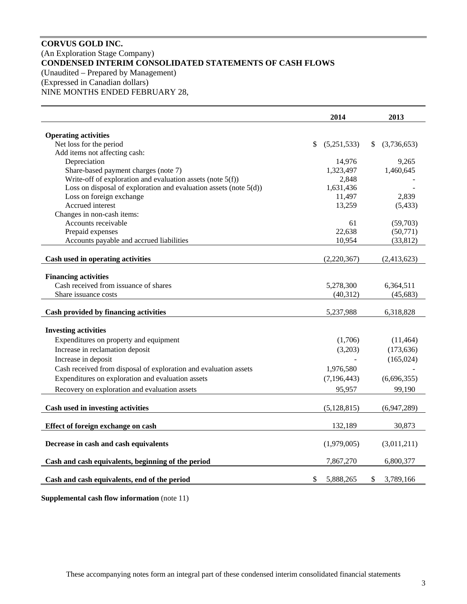# **CORVUS GOLD INC.**  (An Exploration Stage Company) **CONDENSED INTERIM CONSOLIDATED STATEMENTS OF CASH FLOWS**  (Unaudited – Prepared by Management) (Expressed in Canadian dollars)

NINE MONTHS ENDED FEBRUARY 28,

|                                                                      | 2014              |         | 2013              |
|----------------------------------------------------------------------|-------------------|---------|-------------------|
| <b>Operating activities</b>                                          |                   |         |                   |
| Net loss for the period                                              | \$<br>(5,251,533) |         | \$<br>(3,736,653) |
| Add items not affecting cash:                                        |                   |         |                   |
| Depreciation                                                         | 14,976            |         | 9,265             |
| Share-based payment charges (note 7)                                 | 1,323,497         |         | 1,460,645         |
| Write-off of exploration and evaluation assets (note $5(f)$ )        |                   | 2,848   |                   |
| Loss on disposal of exploration and evaluation assets (note $5(d)$ ) | 1,631,436         |         |                   |
| Loss on foreign exchange                                             | 11,497            |         | 2,839             |
| Accrued interest                                                     | 13,259            |         | (5, 433)          |
| Changes in non-cash items:                                           |                   |         |                   |
| Accounts receivable                                                  |                   | 61      | (59,703)          |
| Prepaid expenses                                                     | 22,638            |         | (50,771)          |
| Accounts payable and accrued liabilities                             | 10,954            |         | (33, 812)         |
| Cash used in operating activities                                    | (2,220,367)       |         | (2,413,623)       |
|                                                                      |                   |         |                   |
| <b>Financing activities</b><br>Cash received from issuance of shares | 5,278,300         |         | 6,364,511         |
| Share issuance costs                                                 | (40, 312)         |         | (45, 683)         |
|                                                                      |                   |         |                   |
| Cash provided by financing activities                                | 5,237,988         |         | 6,318,828         |
|                                                                      |                   |         |                   |
| <b>Investing activities</b>                                          |                   |         |                   |
| Expenditures on property and equipment                               |                   | (1,706) | (11, 464)         |
| Increase in reclamation deposit                                      |                   | (3,203) | (173, 636)        |
| Increase in deposit                                                  |                   |         | (165, 024)        |
| Cash received from disposal of exploration and evaluation assets     | 1,976,580         |         |                   |
| Expenditures on exploration and evaluation assets                    | (7, 196, 443)     |         | (6,696,355)       |
| Recovery on exploration and evaluation assets                        | 95,957            |         | 99,190            |
| Cash used in investing activities                                    | (5, 128, 815)     |         | (6,947,289)       |
|                                                                      |                   |         |                   |
| Effect of foreign exchange on cash                                   | 132,189           |         | 30,873            |
| Decrease in cash and cash equivalents                                | (1,979,005)       |         | (3,011,211)       |
| Cash and cash equivalents, beginning of the period                   | 7,867,270         |         | 6,800,377         |
| Cash and cash equivalents, end of the period                         | \$<br>5,888,265   |         | \$<br>3,789,166   |

**Supplemental cash flow information** (note 11)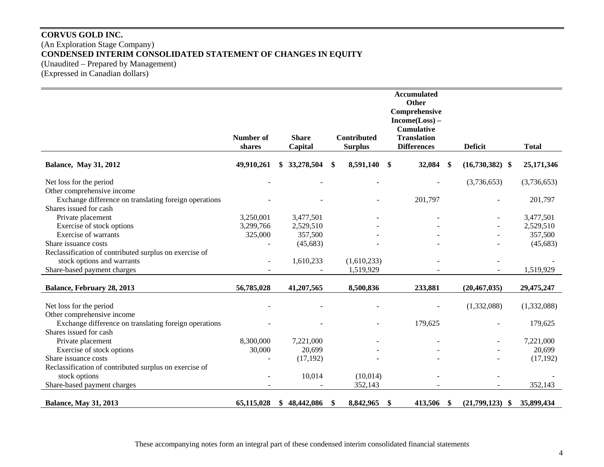# **CORVUS GOLD INC.**  (An Exploration Stage Company) **CONDENSED INTERIM CONSOLIDATED STATEMENT OF CHANGES IN EQUITY**  (Unaudited – Prepared by Management) (Expressed in Canadian dollars)

|                                                        |                |    |              |                 | <b>Accumulated</b><br>Other |                           |                      |              |
|--------------------------------------------------------|----------------|----|--------------|-----------------|-----------------------------|---------------------------|----------------------|--------------|
|                                                        |                |    |              |                 | Comprehensive               |                           |                      |              |
|                                                        |                |    |              |                 | $Income(Loss) -$            |                           |                      |              |
|                                                        |                |    |              |                 | <b>Cumulative</b>           |                           |                      |              |
|                                                        | Number of      |    | <b>Share</b> | Contributed     | <b>Translation</b>          |                           |                      |              |
|                                                        | shares         |    | Capital      | <b>Surplus</b>  | <b>Differences</b>          |                           | <b>Deficit</b>       | <b>Total</b> |
| <b>Balance, May 31, 2012</b>                           | 49,910,261     |    | 33,278,504   | \$<br>8,591,140 | \$<br>32,084                | \$                        | $(16,730,382)$ \$    | 25,171,346   |
| Net loss for the period                                |                |    |              |                 |                             |                           | (3,736,653)          | (3,736,653)  |
| Other comprehensive income                             |                |    |              |                 |                             |                           |                      |              |
| Exchange difference on translating foreign operations  |                |    |              |                 | 201,797                     |                           |                      | 201,797      |
| Shares issued for cash                                 |                |    |              |                 |                             |                           |                      |              |
| Private placement                                      | 3,250,001      |    | 3,477,501    |                 |                             |                           |                      | 3,477,501    |
| Exercise of stock options                              | 3,299,766      |    | 2,529,510    |                 |                             |                           |                      | 2,529,510    |
| Exercise of warrants                                   | 325,000        |    | 357,500      |                 |                             |                           |                      | 357,500      |
| Share issuance costs                                   |                |    | (45, 683)    |                 |                             |                           |                      | (45, 683)    |
| Reclassification of contributed surplus on exercise of |                |    |              |                 |                             |                           |                      |              |
| stock options and warrants                             | $\blacksquare$ |    | 1,610,233    | (1,610,233)     |                             |                           |                      |              |
| Share-based payment charges                            |                |    |              | 1,519,929       |                             |                           |                      | 1,519,929    |
|                                                        |                |    |              |                 |                             |                           |                      |              |
| Balance, February 28, 2013                             | 56,785,028     |    | 41,207,565   | 8,500,836       | 233,881                     |                           | (20, 467, 035)       | 29,475,247   |
| Net loss for the period                                |                |    |              |                 |                             |                           | (1,332,088)          | (1,332,088)  |
| Other comprehensive income                             |                |    |              |                 |                             |                           |                      |              |
| Exchange difference on translating foreign operations  |                |    |              |                 | 179,625                     |                           |                      | 179,625      |
| Shares issued for cash                                 |                |    |              |                 |                             |                           |                      |              |
| Private placement                                      | 8,300,000      |    | 7,221,000    |                 |                             |                           |                      | 7,221,000    |
| Exercise of stock options                              | 30,000         |    | 20,699       |                 |                             |                           |                      | 20,699       |
| Share issuance costs                                   |                |    | (17, 192)    |                 |                             |                           |                      | (17, 192)    |
| Reclassification of contributed surplus on exercise of |                |    |              |                 |                             |                           |                      |              |
| stock options                                          |                |    | 10,014       | (10,014)        |                             |                           |                      |              |
| Share-based payment charges                            |                |    |              | 352,143         |                             |                           |                      | 352,143      |
|                                                        | 65,115,028     |    | 48,442,086   | 8,842,965       | 413,506                     | $\boldsymbol{\mathsf{s}}$ | (21,799,123)<br>- \$ | 35,899,434   |
| <b>Balance, May 31, 2013</b>                           |                | S. |              | \$              | \$                          |                           |                      |              |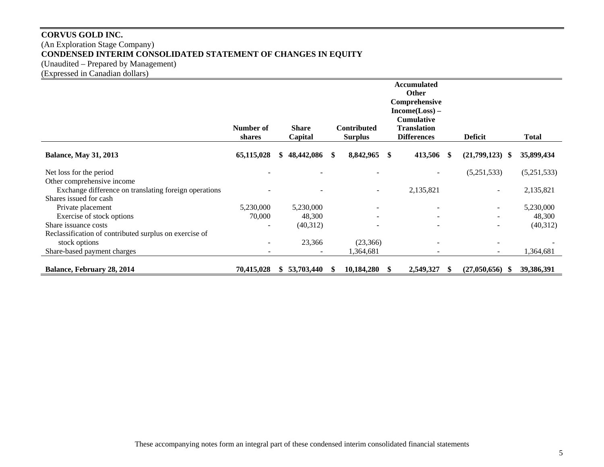# **CORVUS GOLD INC.**  (An Exploration Stage Company) **CONDENSED INTERIM CONSOLIDATED STATEMENT OF CHANGES IN EQUITY**  (Unaudited – Prepared by Management)

(Expressed in Canadian dollars)

|                                                        | Number of<br>shares      | <b>Share</b><br>Capital |    | <b>Contributed</b><br><b>Surplus</b> |     | <b>Accumulated</b><br><b>Other</b><br>Comprehensive<br>$Income(Loss) -$<br><b>Cumulative</b><br><b>Translation</b><br><b>Differences</b> | <b>Deficit</b>           | <b>Total</b> |
|--------------------------------------------------------|--------------------------|-------------------------|----|--------------------------------------|-----|------------------------------------------------------------------------------------------------------------------------------------------|--------------------------|--------------|
| <b>Balance, May 31, 2013</b>                           | 65,115,028               | 48,442,086              | S. | 8,842,965                            | \$  | 413,506 \$                                                                                                                               | (21,799,123)<br>-SS      | 35,899,434   |
| Net loss for the period                                |                          |                         |    | $\blacksquare$                       |     |                                                                                                                                          | (5,251,533)              | (5,251,533)  |
| Other comprehensive income                             |                          |                         |    |                                      |     |                                                                                                                                          |                          |              |
| Exchange difference on translating foreign operations  |                          |                         |    | $\overline{a}$                       |     | 2,135,821                                                                                                                                | $\overline{\phantom{a}}$ | 2,135,821    |
| Shares issued for cash<br>Private placement            | 5,230,000                | 5,230,000               |    |                                      |     |                                                                                                                                          |                          | 5,230,000    |
| Exercise of stock options                              | 70,000                   | 48,300                  |    | $\overline{\phantom{a}}$             |     | $\overline{\phantom{a}}$                                                                                                                 | $\overline{\phantom{a}}$ | 48,300       |
| Share issuance costs                                   |                          | (40,312)                |    | ۰                                    |     |                                                                                                                                          | $\overline{\phantom{0}}$ | (40,312)     |
| Reclassification of contributed surplus on exercise of |                          |                         |    |                                      |     |                                                                                                                                          |                          |              |
| stock options                                          | $\overline{\phantom{0}}$ | 23,366                  |    | (23,366)                             |     | $\overline{\phantom{a}}$                                                                                                                 | $\overline{\phantom{0}}$ |              |
| Share-based payment charges                            |                          |                         |    | ,364,681                             |     |                                                                                                                                          |                          | 1,364,681    |
| Balance, February 28, 2014                             | 70,415,028               | 53,703,440              |    | 10,184,280                           | \$. | 2,549,327                                                                                                                                | (27,050,656)<br><b>S</b> | 39,386,391   |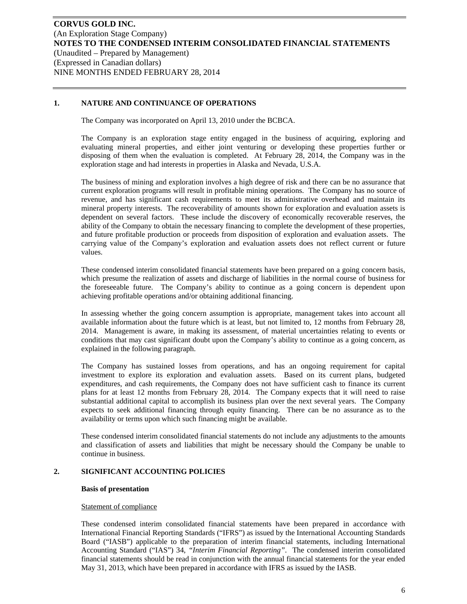# **1. NATURE AND CONTINUANCE OF OPERATIONS**

The Company was incorporated on April 13, 2010 under the BCBCA.

The Company is an exploration stage entity engaged in the business of acquiring, exploring and evaluating mineral properties, and either joint venturing or developing these properties further or disposing of them when the evaluation is completed. At February 28, 2014, the Company was in the exploration stage and had interests in properties in Alaska and Nevada, U.S.A.

The business of mining and exploration involves a high degree of risk and there can be no assurance that current exploration programs will result in profitable mining operations. The Company has no source of revenue, and has significant cash requirements to meet its administrative overhead and maintain its mineral property interests. The recoverability of amounts shown for exploration and evaluation assets is dependent on several factors. These include the discovery of economically recoverable reserves, the ability of the Company to obtain the necessary financing to complete the development of these properties, and future profitable production or proceeds from disposition of exploration and evaluation assets. The carrying value of the Company's exploration and evaluation assets does not reflect current or future values.

These condensed interim consolidated financial statements have been prepared on a going concern basis, which presume the realization of assets and discharge of liabilities in the normal course of business for the foreseeable future. The Company's ability to continue as a going concern is dependent upon achieving profitable operations and/or obtaining additional financing.

In assessing whether the going concern assumption is appropriate, management takes into account all available information about the future which is at least, but not limited to, 12 months from February 28, 2014. Management is aware, in making its assessment, of material uncertainties relating to events or conditions that may cast significant doubt upon the Company's ability to continue as a going concern, as explained in the following paragraph.

The Company has sustained losses from operations, and has an ongoing requirement for capital investment to explore its exploration and evaluation assets. Based on its current plans, budgeted expenditures, and cash requirements, the Company does not have sufficient cash to finance its current plans for at least 12 months from February 28, 2014. The Company expects that it will need to raise substantial additional capital to accomplish its business plan over the next several years. The Company expects to seek additional financing through equity financing. There can be no assurance as to the availability or terms upon which such financing might be available.

These condensed interim consolidated financial statements do not include any adjustments to the amounts and classification of assets and liabilities that might be necessary should the Company be unable to continue in business.

## **2. SIGNIFICANT ACCOUNTING POLICIES**

#### **Basis of presentation**

#### Statement of compliance

These condensed interim consolidated financial statements have been prepared in accordance with International Financial Reporting Standards ("IFRS") as issued by the International Accounting Standards Board ("IASB") applicable to the preparation of interim financial statements, including International Accounting Standard ("IAS") 34, *"Interim Financial Reporting"*. The condensed interim consolidated financial statements should be read in conjunction with the annual financial statements for the year ended May 31, 2013, which have been prepared in accordance with IFRS as issued by the IASB.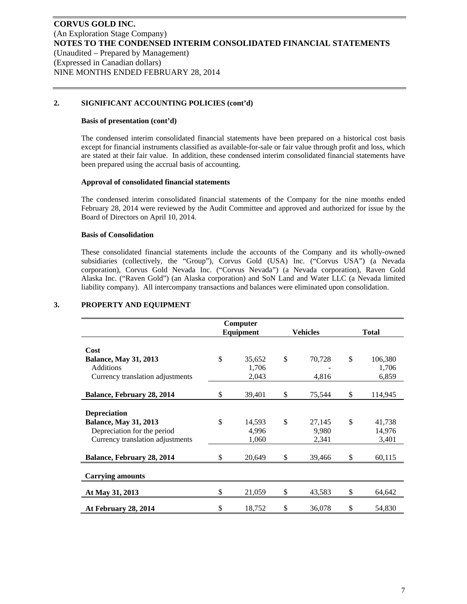## **2. SIGNIFICANT ACCOUNTING POLICIES (cont'd)**

#### **Basis of presentation (cont'd)**

The condensed interim consolidated financial statements have been prepared on a historical cost basis except for financial instruments classified as available-for-sale or fair value through profit and loss, which are stated at their fair value. In addition, these condensed interim consolidated financial statements have been prepared using the accrual basis of accounting.

#### **Approval of consolidated financial statements**

The condensed interim consolidated financial statements of the Company for the nine months ended February 28, 2014 were reviewed by the Audit Committee and approved and authorized for issue by the Board of Directors on April 10, 2014.

## **Basis of Consolidation**

These consolidated financial statements include the accounts of the Company and its wholly-owned subsidiaries (collectively, the "Group"), Corvus Gold (USA) Inc. ("Corvus USA") (a Nevada corporation), Corvus Gold Nevada Inc. ("Corvus Nevada") (a Nevada corporation), Raven Gold Alaska Inc. ("Raven Gold") (an Alaska corporation) and SoN Land and Water LLC (a Nevada limited liability company). All intercompany transactions and balances were eliminated upon consolidation.

|                                  | Computer<br>Equipment | <b>Vehicles</b> | <b>Total</b> |         |  |
|----------------------------------|-----------------------|-----------------|--------------|---------|--|
|                                  |                       |                 |              |         |  |
| Cost                             |                       |                 |              |         |  |
| <b>Balance, May 31, 2013</b>     | \$<br>35,652          | \$<br>70,728    | \$           | 106,380 |  |
| Additions                        | 1,706                 |                 |              | 1,706   |  |
| Currency translation adjustments | 2,043                 | 4,816           |              | 6,859   |  |
|                                  |                       |                 |              |         |  |
| Balance, February 28, 2014       | \$<br>39,401          | \$<br>75,544    | \$           | 114,945 |  |
|                                  |                       |                 |              |         |  |
| <b>Depreciation</b>              |                       |                 |              |         |  |
| <b>Balance, May 31, 2013</b>     | \$<br>14,593          | \$<br>27,145    | \$           | 41,738  |  |
| Depreciation for the period      | 4,996                 | 9,980           |              | 14,976  |  |
| Currency translation adjustments | 1,060                 | 2,341           |              | 3,401   |  |
|                                  |                       |                 |              |         |  |
| Balance, February 28, 2014       | \$<br>20,649          | \$<br>39,466    | \$           | 60,115  |  |
|                                  |                       |                 |              |         |  |
| <b>Carrying amounts</b>          |                       |                 |              |         |  |
| At May 31, 2013                  | \$<br>21,059          | \$<br>43,583    | \$           | 64,642  |  |
|                                  |                       |                 |              |         |  |
| At February 28, 2014             | \$<br>18,752          | \$<br>36,078    | \$           | 54,830  |  |

# **3. PROPERTY AND EQUIPMENT**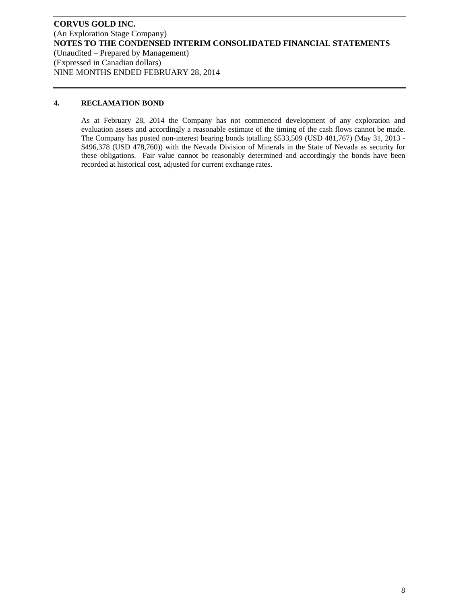# **4. RECLAMATION BOND**

As at February 28, 2014 the Company has not commenced development of any exploration and evaluation assets and accordingly a reasonable estimate of the timing of the cash flows cannot be made. The Company has posted non-interest bearing bonds totalling \$533,509 (USD 481,767) (May 31, 2013 - \$496,378 (USD 478,760)) with the Nevada Division of Minerals in the State of Nevada as security for these obligations. Fair value cannot be reasonably determined and accordingly the bonds have been recorded at historical cost, adjusted for current exchange rates.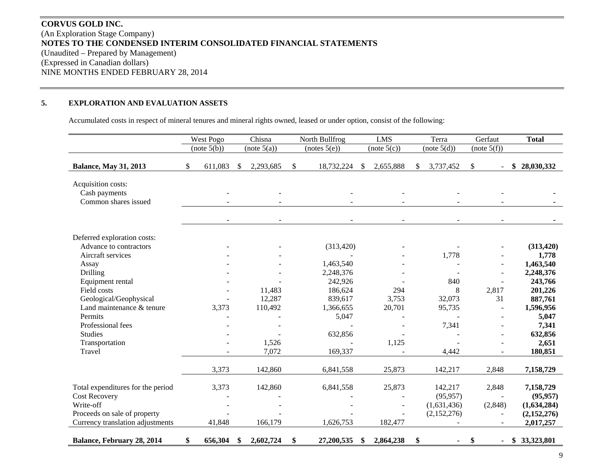# **CORVUS GOLD INC.** (An Exploration Stage Company) **NOTES TO THE CONDENSED INTERIM CONSOLIDATED FINANCIAL STATEMENTS**  (Unaudited – Prepared by Management) (Expressed in Canadian dollars) NINE MONTHS ENDED FEBRUARY 28, 2014

#### **5.EXPLORATION AND EVALUATION ASSETS**

Accumulated costs in respect of mineral tenures and mineral rights owned, leased or under option, consist of the following:

|                                   | West Pogo     | Chisna          | North Bullfrog   |    | <b>LMS</b>  | Terra           | Gerfaut              | <b>Total</b>     |
|-----------------------------------|---------------|-----------------|------------------|----|-------------|-----------------|----------------------|------------------|
|                                   | (note 5(b))   | (note 5(a))     | (notes 5(e))     |    | (note 5(c)) | (note 5(d))     | (note 5(f))          |                  |
| <b>Balance, May 31, 2013</b>      | \$<br>611,083 | \$<br>2,293,685 | \$<br>18,732,224 | -S | 2,655,888   | \$<br>3,737,452 | \$                   | 28,030,332<br>\$ |
| Acquisition costs:                |               |                 |                  |    |             |                 |                      |                  |
| Cash payments                     |               |                 |                  |    |             |                 |                      |                  |
| Common shares issued              |               |                 |                  |    |             |                 |                      |                  |
|                                   |               |                 |                  |    |             |                 |                      |                  |
| Deferred exploration costs:       |               |                 |                  |    |             |                 |                      |                  |
| Advance to contractors            |               |                 | (313, 420)       |    |             |                 |                      | (313, 420)       |
| Aircraft services                 |               |                 |                  |    |             | 1,778           |                      | 1,778            |
| Assay                             |               |                 | 1,463,540        |    |             |                 |                      | 1,463,540        |
| Drilling                          |               |                 | 2,248,376        |    |             |                 |                      | 2,248,376        |
| Equipment rental                  |               |                 | 242,926          |    |             | 840             |                      | 243,766          |
| Field costs                       |               | 11,483          | 186,624          |    | 294         | 8               | 2,817                | 201,226          |
| Geological/Geophysical            |               | 12,287          | 839,617          |    | 3,753       | 32,073          | 31                   | 887,761          |
| Land maintenance & tenure         | 3,373         | 110,492         | 1,366,655        |    | 20,701      | 95,735          |                      | 1,596,956        |
| Permits                           |               |                 | 5,047            |    |             |                 |                      | 5,047            |
| Professional fees                 |               |                 |                  |    |             | 7,341           |                      | 7,341            |
| <b>Studies</b>                    |               |                 | 632,856          |    |             |                 |                      | 632,856          |
| Transportation                    |               | 1,526           |                  |    | 1,125       |                 |                      | 2,651            |
| Travel                            |               | 7,072           | 169,337          |    |             | 4,442           | $\blacksquare$       | 180,851          |
|                                   | 3,373         | 142,860         | 6,841,558        |    | 25,873      | 142,217         | 2,848                | 7,158,729        |
| Total expenditures for the period | 3,373         | 142,860         | 6,841,558        |    | 25,873      | 142,217         | 2,848                | 7,158,729        |
| <b>Cost Recovery</b>              |               |                 |                  |    |             | (95, 957)       |                      | (95, 957)        |
| Write-off                         |               |                 |                  |    |             | (1,631,436)     | (2,848)              | (1,634,284)      |
| Proceeds on sale of property      |               |                 |                  |    |             | (2,152,276)     |                      | (2,152,276)      |
| Currency translation adjustments  | 41,848        | 166,179         | 1,626,753        |    | 182,477     |                 |                      | 2,017,257        |
| Balance, February 28, 2014        | \$<br>656,304 | \$<br>2,602,724 | \$<br>27,200,535 | \$ | 2,864,238   | \$              | \$<br>$\blacksquare$ | \$33,323,801     |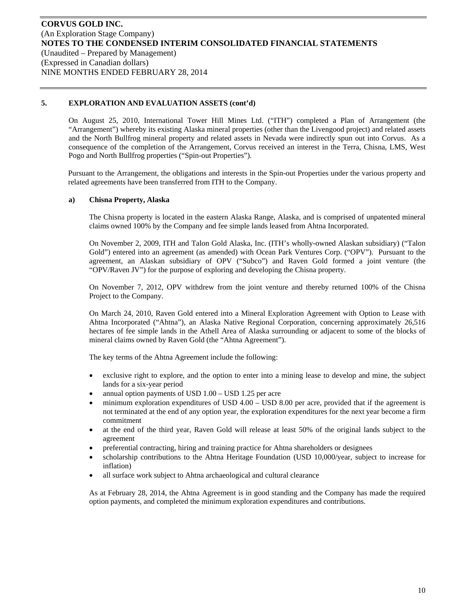On August 25, 2010, International Tower Hill Mines Ltd. ("ITH") completed a Plan of Arrangement (the "Arrangement") whereby its existing Alaska mineral properties (other than the Livengood project) and related assets and the North Bullfrog mineral property and related assets in Nevada were indirectly spun out into Corvus. As a consequence of the completion of the Arrangement, Corvus received an interest in the Terra, Chisna, LMS, West Pogo and North Bullfrog properties ("Spin-out Properties").

Pursuant to the Arrangement, the obligations and interests in the Spin-out Properties under the various property and related agreements have been transferred from ITH to the Company.

## **a) Chisna Property, Alaska**

The Chisna property is located in the eastern Alaska Range, Alaska, and is comprised of unpatented mineral claims owned 100% by the Company and fee simple lands leased from Ahtna Incorporated.

On November 2, 2009, ITH and Talon Gold Alaska, Inc. (ITH's wholly-owned Alaskan subsidiary) ("Talon Gold") entered into an agreement (as amended) with Ocean Park Ventures Corp. ("OPV"). Pursuant to the agreement, an Alaskan subsidiary of OPV ("Subco") and Raven Gold formed a joint venture (the "OPV/Raven JV") for the purpose of exploring and developing the Chisna property.

On November 7, 2012, OPV withdrew from the joint venture and thereby returned 100% of the Chisna Project to the Company.

On March 24, 2010, Raven Gold entered into a Mineral Exploration Agreement with Option to Lease with Ahtna Incorporated ("Ahtna"), an Alaska Native Regional Corporation, concerning approximately 26,516 hectares of fee simple lands in the Athell Area of Alaska surrounding or adjacent to some of the blocks of mineral claims owned by Raven Gold (the "Ahtna Agreement").

The key terms of the Ahtna Agreement include the following:

- exclusive right to explore, and the option to enter into a mining lease to develop and mine, the subject lands for a six-year period
- annual option payments of USD 1.00 USD 1.25 per acre
- minimum exploration expenditures of USD 4.00 USD 8.00 per acre, provided that if the agreement is not terminated at the end of any option year, the exploration expenditures for the next year become a firm commitment
- at the end of the third year, Raven Gold will release at least 50% of the original lands subject to the agreement
- preferential contracting, hiring and training practice for Ahtna shareholders or designees
- scholarship contributions to the Ahtna Heritage Foundation (USD 10,000/year, subject to increase for inflation)
- all surface work subject to Ahtna archaeological and cultural clearance

As at February 28, 2014, the Ahtna Agreement is in good standing and the Company has made the required option payments, and completed the minimum exploration expenditures and contributions.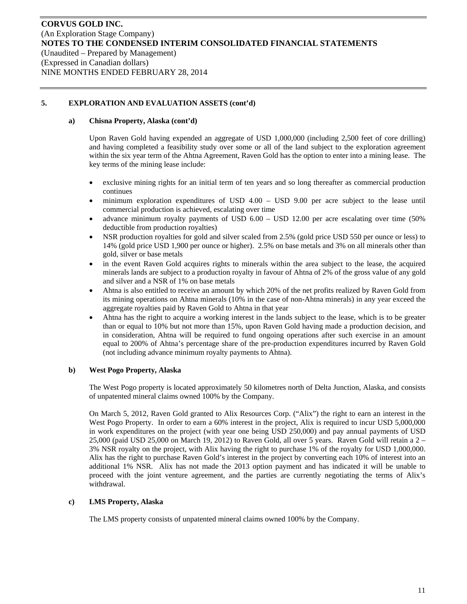## **a) Chisna Property, Alaska (cont'd)**

Upon Raven Gold having expended an aggregate of USD 1,000,000 (including 2,500 feet of core drilling) and having completed a feasibility study over some or all of the land subject to the exploration agreement within the six year term of the Ahtna Agreement, Raven Gold has the option to enter into a mining lease. The key terms of the mining lease include:

- exclusive mining rights for an initial term of ten years and so long thereafter as commercial production continues
- minimum exploration expenditures of USD 4.00 USD 9.00 per acre subject to the lease until commercial production is achieved, escalating over time
- advance minimum royalty payments of USD 6.00 USD 12.00 per acre escalating over time (50% deductible from production royalties)
- NSR production royalties for gold and silver scaled from 2.5% (gold price USD 550 per ounce or less) to 14% (gold price USD 1,900 per ounce or higher). 2.5% on base metals and 3% on all minerals other than gold, silver or base metals
- in the event Raven Gold acquires rights to minerals within the area subject to the lease, the acquired minerals lands are subject to a production royalty in favour of Ahtna of 2% of the gross value of any gold and silver and a NSR of 1% on base metals
- Ahtna is also entitled to receive an amount by which 20% of the net profits realized by Raven Gold from its mining operations on Ahtna minerals (10% in the case of non-Ahtna minerals) in any year exceed the aggregate royalties paid by Raven Gold to Ahtna in that year
- Ahtna has the right to acquire a working interest in the lands subject to the lease, which is to be greater than or equal to 10% but not more than 15%, upon Raven Gold having made a production decision, and in consideration, Ahtna will be required to fund ongoing operations after such exercise in an amount equal to 200% of Ahtna's percentage share of the pre-production expenditures incurred by Raven Gold (not including advance minimum royalty payments to Ahtna).

## **b) West Pogo Property, Alaska**

The West Pogo property is located approximately 50 kilometres north of Delta Junction, Alaska, and consists of unpatented mineral claims owned 100% by the Company.

On March 5, 2012, Raven Gold granted to Alix Resources Corp. ("Alix") the right to earn an interest in the West Pogo Property. In order to earn a 60% interest in the project, Alix is required to incur USD 5,000,000 in work expenditures on the project (with year one being USD 250,000) and pay annual payments of USD 25,000 (paid USD 25,000 on March 19, 2012) to Raven Gold, all over 5 years. Raven Gold will retain a 2 – 3% NSR royalty on the project, with Alix having the right to purchase 1% of the royalty for USD 1,000,000. Alix has the right to purchase Raven Gold's interest in the project by converting each 10% of interest into an additional 1% NSR. Alix has not made the 2013 option payment and has indicated it will be unable to proceed with the joint venture agreement, and the parties are currently negotiating the terms of Alix's withdrawal.

## **c) LMS Property, Alaska**

The LMS property consists of unpatented mineral claims owned 100% by the Company.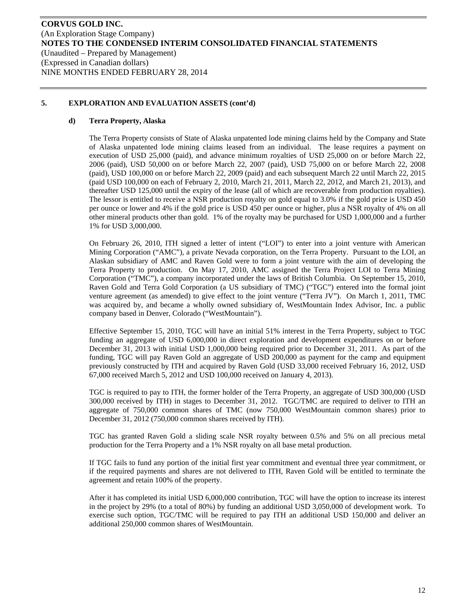## **d) Terra Property, Alaska**

The Terra Property consists of State of Alaska unpatented lode mining claims held by the Company and State of Alaska unpatented lode mining claims leased from an individual. The lease requires a payment on execution of USD 25,000 (paid), and advance minimum royalties of USD 25,000 on or before March 22, 2006 (paid), USD 50,000 on or before March 22, 2007 (paid), USD 75,000 on or before March 22, 2008 (paid), USD 100,000 on or before March 22, 2009 (paid) and each subsequent March 22 until March 22, 2015 (paid USD 100,000 on each of February 2, 2010, March 21, 2011, March 22, 2012, and March 21, 2013), and thereafter USD 125,000 until the expiry of the lease (all of which are recoverable from production royalties). The lessor is entitled to receive a NSR production royalty on gold equal to 3.0% if the gold price is USD 450 per ounce or lower and 4% if the gold price is USD 450 per ounce or higher, plus a NSR royalty of 4% on all other mineral products other than gold. 1% of the royalty may be purchased for USD 1,000,000 and a further 1% for USD 3,000,000.

On February 26, 2010, ITH signed a letter of intent ("LOI") to enter into a joint venture with American Mining Corporation ("AMC"), a private Nevada corporation, on the Terra Property. Pursuant to the LOI, an Alaskan subsidiary of AMC and Raven Gold were to form a joint venture with the aim of developing the Terra Property to production. On May 17, 2010, AMC assigned the Terra Project LOI to Terra Mining Corporation ("TMC"), a company incorporated under the laws of British Columbia. On September 15, 2010, Raven Gold and Terra Gold Corporation (a US subsidiary of TMC) ("TGC") entered into the formal joint venture agreement (as amended) to give effect to the joint venture ("Terra JV"). On March 1, 2011, TMC was acquired by, and became a wholly owned subsidiary of, WestMountain Index Advisor, Inc. a public company based in Denver, Colorado ("WestMountain").

Effective September 15, 2010, TGC will have an initial 51% interest in the Terra Property, subject to TGC funding an aggregate of USD 6,000,000 in direct exploration and development expenditures on or before December 31, 2013 with initial USD 1,000,000 being required prior to December 31, 2011. As part of the funding, TGC will pay Raven Gold an aggregate of USD 200,000 as payment for the camp and equipment previously constructed by ITH and acquired by Raven Gold (USD 33,000 received February 16, 2012, USD 67,000 received March 5, 2012 and USD 100,000 received on January 4, 2013).

TGC is required to pay to ITH, the former holder of the Terra Property, an aggregate of USD 300,000 (USD 300,000 received by ITH) in stages to December 31, 2012. TGC/TMC are required to deliver to ITH an aggregate of 750,000 common shares of TMC (now 750,000 WestMountain common shares) prior to December 31, 2012 (750,000 common shares received by ITH).

TGC has granted Raven Gold a sliding scale NSR royalty between 0.5% and 5% on all precious metal production for the Terra Property and a 1% NSR royalty on all base metal production.

If TGC fails to fund any portion of the initial first year commitment and eventual three year commitment, or if the required payments and shares are not delivered to ITH, Raven Gold will be entitled to terminate the agreement and retain 100% of the property.

After it has completed its initial USD 6,000,000 contribution, TGC will have the option to increase its interest in the project by 29% (to a total of 80%) by funding an additional USD 3,050,000 of development work. To exercise such option, TGC/TMC will be required to pay ITH an additional USD 150,000 and deliver an additional 250,000 common shares of WestMountain.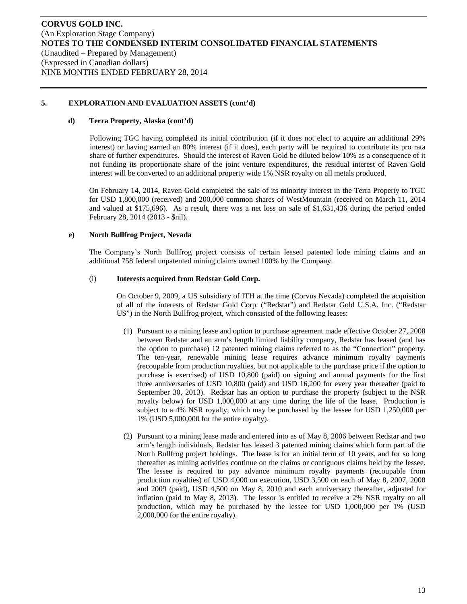#### **d) Terra Property, Alaska (cont'd)**

Following TGC having completed its initial contribution (if it does not elect to acquire an additional 29% interest) or having earned an 80% interest (if it does), each party will be required to contribute its pro rata share of further expenditures. Should the interest of Raven Gold be diluted below 10% as a consequence of it not funding its proportionate share of the joint venture expenditures, the residual interest of Raven Gold interest will be converted to an additional property wide 1% NSR royalty on all metals produced.

On February 14, 2014, Raven Gold completed the sale of its minority interest in the Terra Property to TGC for USD 1,800,000 (received) and 200,000 common shares of WestMountain (received on March 11, 2014 and valued at \$175,696). As a result, there was a net loss on sale of \$1,631,436 during the period ended February 28, 2014 (2013 - \$nil).

## **e) North Bullfrog Project, Nevada**

The Company's North Bullfrog project consists of certain leased patented lode mining claims and an additional 758 federal unpatented mining claims owned 100% by the Company.

## (i) **Interests acquired from Redstar Gold Corp.**

On October 9, 2009, a US subsidiary of ITH at the time (Corvus Nevada) completed the acquisition of all of the interests of Redstar Gold Corp. ("Redstar") and Redstar Gold U.S.A. Inc. ("Redstar US") in the North Bullfrog project, which consisted of the following leases:

- (1) Pursuant to a mining lease and option to purchase agreement made effective October 27, 2008 between Redstar and an arm's length limited liability company, Redstar has leased (and has the option to purchase) 12 patented mining claims referred to as the "Connection" property. The ten-year, renewable mining lease requires advance minimum royalty payments (recoupable from production royalties, but not applicable to the purchase price if the option to purchase is exercised) of USD 10,800 (paid) on signing and annual payments for the first three anniversaries of USD 10,800 (paid) and USD 16,200 for every year thereafter (paid to September 30, 2013). Redstar has an option to purchase the property (subject to the NSR royalty below) for USD 1,000,000 at any time during the life of the lease. Production is subject to a 4% NSR royalty, which may be purchased by the lessee for USD 1,250,000 per 1% (USD 5,000,000 for the entire royalty).
- (2) Pursuant to a mining lease made and entered into as of May 8, 2006 between Redstar and two arm's length individuals, Redstar has leased 3 patented mining claims which form part of the North Bullfrog project holdings. The lease is for an initial term of 10 years, and for so long thereafter as mining activities continue on the claims or contiguous claims held by the lessee. The lessee is required to pay advance minimum royalty payments (recoupable from production royalties) of USD 4,000 on execution, USD 3,500 on each of May 8, 2007, 2008 and 2009 (paid), USD 4,500 on May 8, 2010 and each anniversary thereafter, adjusted for inflation (paid to May 8, 2013). The lessor is entitled to receive a 2% NSR royalty on all production, which may be purchased by the lessee for USD 1,000,000 per 1% (USD 2,000,000 for the entire royalty).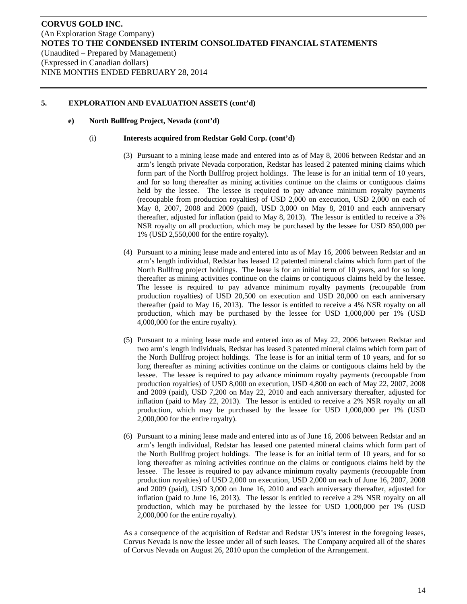#### **e) North Bullfrog Project, Nevada (cont'd)**

#### (i) **Interests acquired from Redstar Gold Corp. (cont'd)**

- (3) Pursuant to a mining lease made and entered into as of May 8, 2006 between Redstar and an arm's length private Nevada corporation, Redstar has leased 2 patented mining claims which form part of the North Bullfrog project holdings. The lease is for an initial term of 10 years, and for so long thereafter as mining activities continue on the claims or contiguous claims held by the lessee. The lessee is required to pay advance minimum royalty payments (recoupable from production royalties) of USD 2,000 on execution, USD 2,000 on each of May 8, 2007, 2008 and 2009 (paid), USD 3,000 on May 8, 2010 and each anniversary thereafter, adjusted for inflation (paid to May 8, 2013). The lessor is entitled to receive a 3% NSR royalty on all production, which may be purchased by the lessee for USD 850,000 per 1% (USD 2,550,000 for the entire royalty).
- (4) Pursuant to a mining lease made and entered into as of May 16, 2006 between Redstar and an arm's length individual, Redstar has leased 12 patented mineral claims which form part of the North Bullfrog project holdings. The lease is for an initial term of 10 years, and for so long thereafter as mining activities continue on the claims or contiguous claims held by the lessee. The lessee is required to pay advance minimum royalty payments (recoupable from production royalties) of USD 20,500 on execution and USD 20,000 on each anniversary thereafter (paid to May 16, 2013). The lessor is entitled to receive a 4% NSR royalty on all production, which may be purchased by the lessee for USD 1,000,000 per 1% (USD 4,000,000 for the entire royalty).
- (5) Pursuant to a mining lease made and entered into as of May 22, 2006 between Redstar and two arm's length individuals, Redstar has leased 3 patented mineral claims which form part of the North Bullfrog project holdings. The lease is for an initial term of 10 years, and for so long thereafter as mining activities continue on the claims or contiguous claims held by the lessee. The lessee is required to pay advance minimum royalty payments (recoupable from production royalties) of USD 8,000 on execution, USD 4,800 on each of May 22, 2007, 2008 and 2009 (paid), USD 7,200 on May 22, 2010 and each anniversary thereafter, adjusted for inflation (paid to May 22, 2013). The lessor is entitled to receive a 2% NSR royalty on all production, which may be purchased by the lessee for USD 1,000,000 per 1% (USD 2,000,000 for the entire royalty).
- (6) Pursuant to a mining lease made and entered into as of June 16, 2006 between Redstar and an arm's length individual, Redstar has leased one patented mineral claims which form part of the North Bullfrog project holdings. The lease is for an initial term of 10 years, and for so long thereafter as mining activities continue on the claims or contiguous claims held by the lessee. The lessee is required to pay advance minimum royalty payments (recoupable from production royalties) of USD 2,000 on execution, USD 2,000 on each of June 16, 2007, 2008 and 2009 (paid), USD 3,000 on June 16, 2010 and each anniversary thereafter, adjusted for inflation (paid to June 16, 2013). The lessor is entitled to receive a 2% NSR royalty on all production, which may be purchased by the lessee for USD 1,000,000 per 1% (USD 2,000,000 for the entire royalty).

As a consequence of the acquisition of Redstar and Redstar US's interest in the foregoing leases, Corvus Nevada is now the lessee under all of such leases. The Company acquired all of the shares of Corvus Nevada on August 26, 2010 upon the completion of the Arrangement.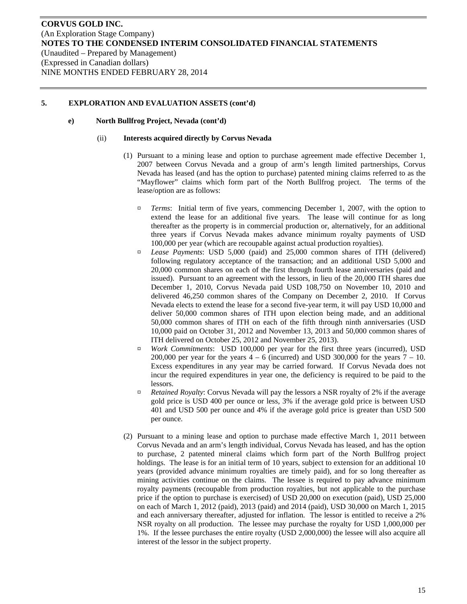## **e) North Bullfrog Project, Nevada (cont'd)**

#### (ii) **Interests acquired directly by Corvus Nevada**

- (1) Pursuant to a mining lease and option to purchase agreement made effective December 1, 2007 between Corvus Nevada and a group of arm's length limited partnerships, Corvus Nevada has leased (and has the option to purchase) patented mining claims referred to as the "Mayflower" claims which form part of the North Bullfrog project. The terms of the lease/option are as follows:
	- ¤ *Terms*: Initial term of five years, commencing December 1, 2007, with the option to extend the lease for an additional five years. The lease will continue for as long thereafter as the property is in commercial production or, alternatively, for an additional three years if Corvus Nevada makes advance minimum royalty payments of USD 100,000 per year (which are recoupable against actual production royalties).
	- ¤ *Lease Payments*: USD 5,000 (paid) and 25,000 common shares of ITH (delivered) following regulatory acceptance of the transaction; and an additional USD 5,000 and 20,000 common shares on each of the first through fourth lease anniversaries (paid and issued). Pursuant to an agreement with the lessors, in lieu of the 20,000 ITH shares due December 1, 2010, Corvus Nevada paid USD 108,750 on November 10, 2010 and delivered 46,250 common shares of the Company on December 2, 2010. If Corvus Nevada elects to extend the lease for a second five-year term, it will pay USD 10,000 and deliver 50,000 common shares of ITH upon election being made, and an additional 50,000 common shares of ITH on each of the fifth through ninth anniversaries (USD 10,000 paid on October 31, 2012 and November 13, 2013 and 50,000 common shares of ITH delivered on October 25, 2012 and November 25, 2013).
	- ¤ *Work Commitments*: USD 100,000 per year for the first three years (incurred), USD 200,000 per year for the years  $4 - 6$  (incurred) and USD 300,000 for the years  $7 - 10$ . Excess expenditures in any year may be carried forward. If Corvus Nevada does not incur the required expenditures in year one, the deficiency is required to be paid to the lessors.
	- ¤ *Retained Royalty*: Corvus Nevada will pay the lessors a NSR royalty of 2% if the average gold price is USD 400 per ounce or less, 3% if the average gold price is between USD 401 and USD 500 per ounce and 4% if the average gold price is greater than USD 500 per ounce.
- (2) Pursuant to a mining lease and option to purchase made effective March 1, 2011 between Corvus Nevada and an arm's length individual, Corvus Nevada has leased, and has the option to purchase, 2 patented mineral claims which form part of the North Bullfrog project holdings. The lease is for an initial term of 10 years, subject to extension for an additional 10 years (provided advance minimum royalties are timely paid), and for so long thereafter as mining activities continue on the claims. The lessee is required to pay advance minimum royalty payments (recoupable from production royalties, but not applicable to the purchase price if the option to purchase is exercised) of USD 20,000 on execution (paid), USD 25,000 on each of March 1, 2012 (paid), 2013 (paid) and 2014 (paid), USD 30,000 on March 1, 2015 and each anniversary thereafter, adjusted for inflation. The lessor is entitled to receive a 2% NSR royalty on all production. The lessee may purchase the royalty for USD 1,000,000 per 1%. If the lessee purchases the entire royalty (USD 2,000,000) the lessee will also acquire all interest of the lessor in the subject property.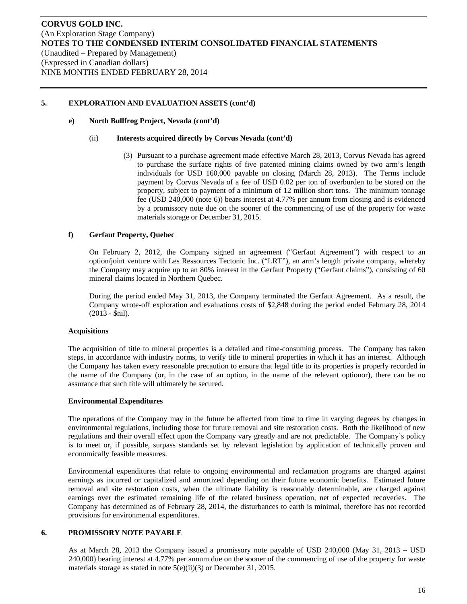#### **e) North Bullfrog Project, Nevada (cont'd)**

#### (ii) **Interests acquired directly by Corvus Nevada (cont'd)**

(3) Pursuant to a purchase agreement made effective March 28, 2013, Corvus Nevada has agreed to purchase the surface rights of five patented mining claims owned by two arm's length individuals for USD 160,000 payable on closing (March 28, 2013). The Terms include payment by Corvus Nevada of a fee of USD 0.02 per ton of overburden to be stored on the property, subject to payment of a minimum of 12 million short tons. The minimum tonnage fee (USD 240,000 (note 6)) bears interest at 4.77% per annum from closing and is evidenced by a promissory note due on the sooner of the commencing of use of the property for waste materials storage or December 31, 2015.

#### **f) Gerfaut Property, Quebec**

On February 2, 2012, the Company signed an agreement ("Gerfaut Agreement") with respect to an option/joint venture with Les Ressources Tectonic Inc. ("LRT"), an arm's length private company, whereby the Company may acquire up to an 80% interest in the Gerfaut Property ("Gerfaut claims"), consisting of 60 mineral claims located in Northern Quebec.

During the period ended May 31, 2013, the Company terminated the Gerfaut Agreement. As a result, the Company wrote-off exploration and evaluations costs of \$2,848 during the period ended February 28, 2014 (2013 - \$nil).

#### **Acquisitions**

The acquisition of title to mineral properties is a detailed and time-consuming process. The Company has taken steps, in accordance with industry norms, to verify title to mineral properties in which it has an interest. Although the Company has taken every reasonable precaution to ensure that legal title to its properties is properly recorded in the name of the Company (or, in the case of an option, in the name of the relevant optionor), there can be no assurance that such title will ultimately be secured.

#### **Environmental Expenditures**

The operations of the Company may in the future be affected from time to time in varying degrees by changes in environmental regulations, including those for future removal and site restoration costs. Both the likelihood of new regulations and their overall effect upon the Company vary greatly and are not predictable. The Company's policy is to meet or, if possible, surpass standards set by relevant legislation by application of technically proven and economically feasible measures.

Environmental expenditures that relate to ongoing environmental and reclamation programs are charged against earnings as incurred or capitalized and amortized depending on their future economic benefits. Estimated future removal and site restoration costs, when the ultimate liability is reasonably determinable, are charged against earnings over the estimated remaining life of the related business operation, net of expected recoveries. The Company has determined as of February 28, 2014, the disturbances to earth is minimal, therefore has not recorded provisions for environmental expenditures.

## **6. PROMISSORY NOTE PAYABLE**

As at March 28, 2013 the Company issued a promissory note payable of USD 240,000 (May 31, 2013 – USD 240,000) bearing interest at 4.77% per annum due on the sooner of the commencing of use of the property for waste materials storage as stated in note 5(e)(ii)(3) or December 31, 2015.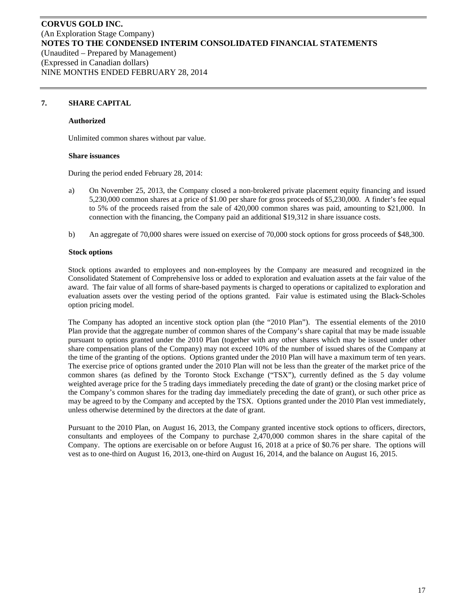## **7. SHARE CAPITAL**

#### **Authorized**

Unlimited common shares without par value.

#### **Share issuances**

During the period ended February 28, 2014:

- a) On November 25, 2013, the Company closed a non-brokered private placement equity financing and issued 5,230,000 common shares at a price of \$1.00 per share for gross proceeds of \$5,230,000. A finder's fee equal to 5% of the proceeds raised from the sale of 420,000 common shares was paid, amounting to \$21,000. In connection with the financing, the Company paid an additional \$19,312 in share issuance costs.
- b) An aggregate of 70,000 shares were issued on exercise of 70,000 stock options for gross proceeds of \$48,300.

#### **Stock options**

Stock options awarded to employees and non-employees by the Company are measured and recognized in the Consolidated Statement of Comprehensive loss or added to exploration and evaluation assets at the fair value of the award. The fair value of all forms of share-based payments is charged to operations or capitalized to exploration and evaluation assets over the vesting period of the options granted. Fair value is estimated using the Black-Scholes option pricing model.

The Company has adopted an incentive stock option plan (the "2010 Plan"). The essential elements of the 2010 Plan provide that the aggregate number of common shares of the Company's share capital that may be made issuable pursuant to options granted under the 2010 Plan (together with any other shares which may be issued under other share compensation plans of the Company) may not exceed 10% of the number of issued shares of the Company at the time of the granting of the options. Options granted under the 2010 Plan will have a maximum term of ten years. The exercise price of options granted under the 2010 Plan will not be less than the greater of the market price of the common shares (as defined by the Toronto Stock Exchange ("TSX"), currently defined as the 5 day volume weighted average price for the 5 trading days immediately preceding the date of grant) or the closing market price of the Company's common shares for the trading day immediately preceding the date of grant), or such other price as may be agreed to by the Company and accepted by the TSX. Options granted under the 2010 Plan vest immediately, unless otherwise determined by the directors at the date of grant.

Pursuant to the 2010 Plan, on August 16, 2013, the Company granted incentive stock options to officers, directors, consultants and employees of the Company to purchase 2,470,000 common shares in the share capital of the Company. The options are exercisable on or before August 16, 2018 at a price of \$0.76 per share. The options will vest as to one-third on August 16, 2013, one-third on August 16, 2014, and the balance on August 16, 2015.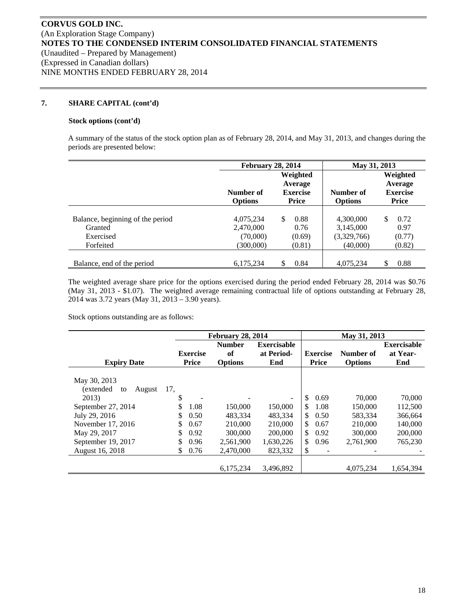#### **7. SHARE CAPITAL (cont'd)**

#### **Stock options (cont'd)**

A summary of the status of the stock option plan as of February 28, 2014, and May 31, 2013, and changes during the periods are presented below:

|                                                                       | <b>February 28, 2014</b>                        |                                                 | May 31, 2013                                      |                                                        |  |  |
|-----------------------------------------------------------------------|-------------------------------------------------|-------------------------------------------------|---------------------------------------------------|--------------------------------------------------------|--|--|
|                                                                       | Number of<br><b>Options</b>                     | Weighted<br>Average<br><b>Exercise</b><br>Price | Number of<br><b>Options</b>                       | Weighted<br>Average<br><b>Exercise</b><br><b>Price</b> |  |  |
| Balance, beginning of the period<br>Granted<br>Exercised<br>Forfeited | 4,075,234<br>2,470,000<br>(70,000)<br>(300,000) | \$.<br>0.88<br>0.76<br>(0.69)<br>(0.81)         | 4,300,000<br>3,145,000<br>(3,329,766)<br>(40,000) | \$<br>0.72<br>0.97<br>(0.77)<br>(0.82)                 |  |  |
| Balance, end of the period                                            | 6,175,234                                       | S<br>0.84                                       | 4,075,234                                         | \$<br>0.88                                             |  |  |

The weighted average share price for the options exercised during the period ended February 28, 2014 was \$0.76 (May 31, 2013 - \$1.07). The weighted average remaining contractual life of options outstanding at February 28, 2014 was 3.72 years (May 31, 2013 – 3.90 years).

Stock options outstanding are as follows:

|                            |                 | <b>February 28, 2014</b> |                          | May 31, 2013                   |                |                    |  |  |
|----------------------------|-----------------|--------------------------|--------------------------|--------------------------------|----------------|--------------------|--|--|
|                            |                 | <b>Number</b>            | <b>Exercisable</b>       |                                |                | <b>Exercisable</b> |  |  |
|                            | <b>Exercise</b> | of                       | at Period-               | <b>Exercise</b>                | Number of      | at Year-           |  |  |
| <b>Expiry Date</b>         | <b>Price</b>    | <b>Options</b>           | End                      | <b>Price</b>                   | <b>Options</b> | End                |  |  |
| May 30, 2013               |                 |                          |                          |                                |                |                    |  |  |
| (extended)<br>August<br>to | 17,             |                          |                          |                                |                |                    |  |  |
| 2013)                      | \$              |                          | $\overline{\phantom{a}}$ | \$.<br>0.69                    | 70,000         | 70,000             |  |  |
| September 27, 2014         | \$<br>1.08      | 150,000                  | 150,000                  | \$.<br>1.08                    | 150,000        | 112,500            |  |  |
| July 29, 2016              | \$<br>0.50      | 483.334                  | 483.334                  | \$<br>0.50                     | 583,334        | 366,664            |  |  |
| November 17, 2016          | \$<br>0.67      | 210,000                  | 210,000                  | \$.<br>0.67                    | 210,000        | 140,000            |  |  |
| May 29, 2017               | \$<br>0.92      | 300,000                  | 200,000                  | \$<br>0.92                     | 300,000        | 200,000            |  |  |
| September 19, 2017         | 0.96            | 2,561,900                | 1,630,226                | \$<br>0.96                     | 2.761.900      | 765,230            |  |  |
| August 16, 2018            | 0.76<br>\$      | 2,470,000                | 823.332                  | \$<br>$\overline{\phantom{a}}$ |                |                    |  |  |
|                            |                 | 6,175,234                | 3,496,892                |                                | 4,075,234      | 1,654,394          |  |  |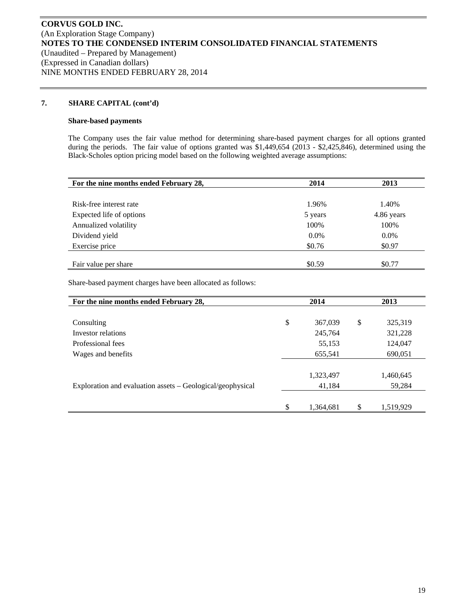#### **7. SHARE CAPITAL (cont'd)**

#### **Share-based payments**

The Company uses the fair value method for determining share-based payment charges for all options granted during the periods. The fair value of options granted was \$1,449,654 (2013 - \$2,425,846), determined using the Black-Scholes option pricing model based on the following weighted average assumptions:

| For the nine months ended February 28, | 2014    | 2013       |
|----------------------------------------|---------|------------|
|                                        |         |            |
| Risk-free interest rate                | 1.96%   | 1.40%      |
| Expected life of options               | 5 years | 4.86 years |
| Annualized volatility                  | 100%    | 100%       |
| Dividend yield                         | 0.0%    | 0.0%       |
| Exercise price                         | \$0.76  | \$0.97     |
|                                        |         |            |
| Fair value per share                   | \$0.59  | \$0.77     |

Share-based payment charges have been allocated as follows:

| For the nine months ended February 28,                     |     | 2014      |    | 2013      |  |  |
|------------------------------------------------------------|-----|-----------|----|-----------|--|--|
|                                                            |     |           |    |           |  |  |
| Consulting                                                 | \$  | 367,039   | \$ | 325,319   |  |  |
| Investor relations                                         |     | 245,764   |    | 321,228   |  |  |
| Professional fees                                          |     | 55,153    |    | 124,047   |  |  |
| Wages and benefits                                         |     | 655,541   |    | 690,051   |  |  |
|                                                            |     |           |    |           |  |  |
|                                                            |     | 1,323,497 |    | 1,460,645 |  |  |
| Exploration and evaluation assets – Geological/geophysical |     | 41,184    |    | 59,284    |  |  |
|                                                            |     |           |    |           |  |  |
|                                                            | \$. | 1,364,681 | S  | 1,519,929 |  |  |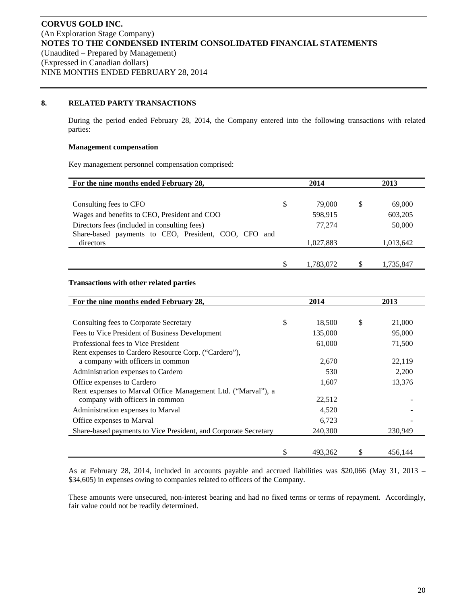# **8. RELATED PARTY TRANSACTIONS**

During the period ended February 28, 2014, the Company entered into the following transactions with related parties:

#### **Management compensation**

Key management personnel compensation comprised:

| For the nine months ended February 28,                  |    | 2014      |   | 2013      |  |
|---------------------------------------------------------|----|-----------|---|-----------|--|
|                                                         |    |           |   |           |  |
| Consulting fees to CFO                                  | \$ | 79,000    | S | 69,000    |  |
| Wages and benefits to CEO, President and COO            |    | 598,915   |   | 603,205   |  |
| Directors fees (included in consulting fees)            |    | 77.274    |   | 50,000    |  |
| Share-based payments to CEO, President, COO, CFO<br>and |    |           |   |           |  |
| directors                                               |    | 1,027,883 |   | 1,013,642 |  |
|                                                         |    |           |   |           |  |
|                                                         |    | 1,783,072 |   | 1,735,847 |  |

## **Transactions with other related parties**

| For the nine months ended February 28,                          | 2014 |         | 2013 |         |
|-----------------------------------------------------------------|------|---------|------|---------|
|                                                                 |      |         |      |         |
| Consulting fees to Corporate Secretary                          | \$   | 18,500  | \$   | 21,000  |
| Fees to Vice President of Business Development                  |      | 135,000 |      | 95,000  |
| Professional fees to Vice President                             |      | 61,000  |      | 71,500  |
| Rent expenses to Cardero Resource Corp. ("Cardero"),            |      |         |      |         |
| a company with officers in common                               |      | 2,670   |      | 22,119  |
| Administration expenses to Cardero                              |      | 530     |      | 2,200   |
| Office expenses to Cardero                                      |      | 1,607   |      | 13,376  |
| Rent expenses to Marval Office Management Ltd. ("Marval"), a    |      |         |      |         |
| company with officers in common                                 |      | 22,512  |      |         |
| Administration expenses to Marval                               |      | 4,520   |      |         |
| Office expenses to Marval                                       |      | 6,723   |      |         |
| Share-based payments to Vice President, and Corporate Secretary |      | 240,300 |      | 230,949 |
|                                                                 |      |         |      |         |
|                                                                 | \$   | 493.362 | S    | 456.144 |

As at February 28, 2014, included in accounts payable and accrued liabilities was \$20,066 (May 31, 2013 – \$34,605) in expenses owing to companies related to officers of the Company.

These amounts were unsecured, non-interest bearing and had no fixed terms or terms of repayment. Accordingly, fair value could not be readily determined.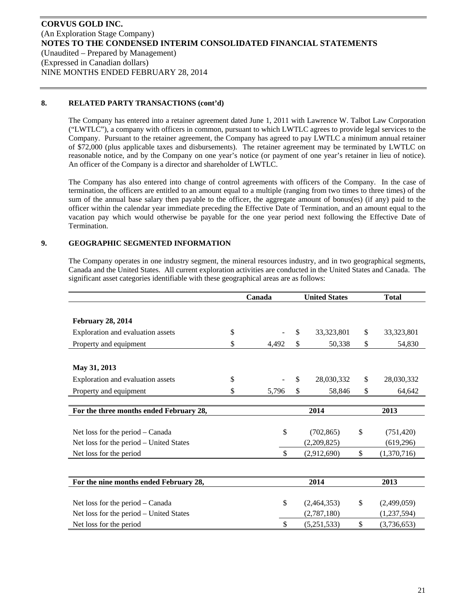# **8. RELATED PARTY TRANSACTIONS (cont'd)**

The Company has entered into a retainer agreement dated June 1, 2011 with Lawrence W. Talbot Law Corporation ("LWTLC"), a company with officers in common, pursuant to which LWTLC agrees to provide legal services to the Company. Pursuant to the retainer agreement, the Company has agreed to pay LWTLC a minimum annual retainer of \$72,000 (plus applicable taxes and disbursements). The retainer agreement may be terminated by LWTLC on reasonable notice, and by the Company on one year's notice (or payment of one year's retainer in lieu of notice). An officer of the Company is a director and shareholder of LWTLC.

The Company has also entered into change of control agreements with officers of the Company. In the case of termination, the officers are entitled to an amount equal to a multiple (ranging from two times to three times) of the sum of the annual base salary then payable to the officer, the aggregate amount of bonus(es) (if any) paid to the officer within the calendar year immediate preceding the Effective Date of Termination, and an amount equal to the vacation pay which would otherwise be payable for the one year period next following the Effective Date of Termination.

# **9. GEOGRAPHIC SEGMENTED INFORMATION**

The Company operates in one industry segment, the mineral resources industry, and in two geographical segments, Canada and the United States. All current exploration activities are conducted in the United States and Canada. The significant asset categories identifiable with these geographical areas are as follows:

|                                         | Canada      | <b>United States</b> |              |              | <b>Total</b> |  |
|-----------------------------------------|-------------|----------------------|--------------|--------------|--------------|--|
|                                         |             |                      |              |              |              |  |
| <b>February 28, 2014</b>                |             |                      |              |              |              |  |
| Exploration and evaluation assets       | \$          | \$                   | 33, 323, 801 | \$           | 33,323,801   |  |
| Property and equipment                  | \$<br>4,492 | \$                   | 50,338       | \$           | 54,830       |  |
|                                         |             |                      |              |              |              |  |
| May 31, 2013                            |             |                      |              |              |              |  |
| Exploration and evaluation assets       | \$          | \$                   | 28,030,332   | \$           | 28,030,332   |  |
| Property and equipment                  | \$<br>5.796 | \$                   | 58.846       | \$           | 64,642       |  |
|                                         |             |                      |              |              |              |  |
| For the three months ended February 28, |             |                      | 2014         |              | 2013         |  |
|                                         |             |                      |              |              |              |  |
| Net loss for the period – Canada        | \$          |                      | (702, 865)   | \$           | (751, 420)   |  |
| Net loss for the period – United States |             |                      | (2,209,825)  |              | (619, 296)   |  |
| Net loss for the period                 | \$          |                      | (2,912,690)  | \$           | (1,370,716)  |  |
|                                         |             |                      |              |              |              |  |
| For the nine months ended February 28,  |             |                      | 2014         |              | 2013         |  |
|                                         |             |                      |              |              |              |  |
| Net loss for the period – Canada        | \$          |                      | (2,464,353)  | \$           | (2,499,059)  |  |
| Net loss for the period – United States |             |                      | (2,787,180)  |              | (1,237,594)  |  |
| Net loss for the period                 | \$          |                      | (5,251,533)  | $\mathbb{S}$ | (3,736,653)  |  |
|                                         |             |                      |              |              |              |  |